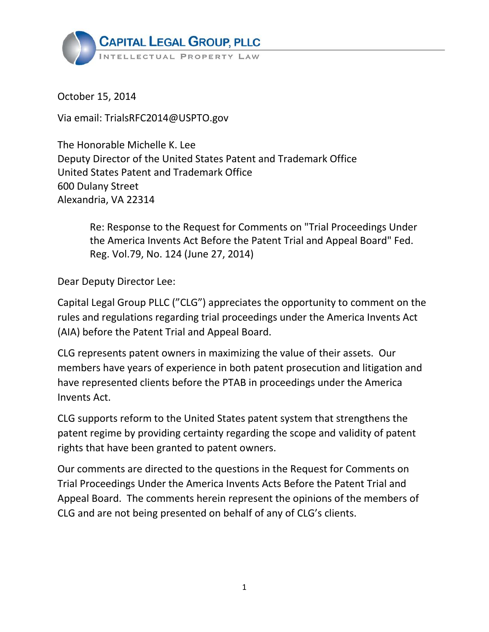

October 15, 2014

Via email: TrialsRFC2014@USPTO.gov

 Deputy Director of the United States Patent and Trademark Office United States Patent and Trademark Office 600 Dulany Street Alexandria, VA 22314 The Honorable Michelle K. Lee

> Re: Response to the Request for Comments on "Trial Proceedings Under the America Invents Act Before the Patent Trial and Appeal Board" Fed. Reg. Vol.79, No. 124 (June 27, 2014)

Dear Deputy Director Lee:

 Capital Legal Group PLLC ("CLG") appreciates the opportunity to comment on the rules and regulations regarding trial proceedings under the America Invents Act (AIA) before the Patent Trial and Appeal Board.

 CLG represents patent owners in maximizing the value of their assets. Our members have years of experience in both patent prosecution and litigation and have represented clients before the PTAB in proceedings under the America Invents Act.

 CLG supports reform to the United States patent system that strengthens the patent regime by providing certainty regarding the scope and validity of patent rights that have been granted to patent owners.

 Our comments are directed to the questions in the Request for Comments on Trial Proceedings Under the America Invents Acts Before the Patent Trial and Appeal Board. The comments herein represent the opinions of the members of CLG and are not being presented on behalf of any of CLG's clients.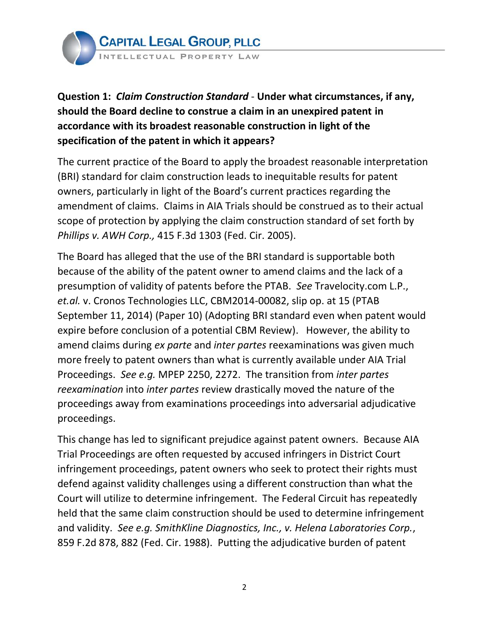

 **Question 1:** *Claim Construction Standard* - **Under what circumstances, if any, should the Board decline to construe a claim in an unexpired patent in accordance with its broadest reasonable construction in light of the specification of the patent in which it appears?**

 The current practice of the Board to apply the broadest reasonable interpretation (BRI) standard for claim construction leads to inequitable results for patent owners, particularly in light of the Board's current practices regarding the amendment of claims. Claims in AIA Trials should be construed as to their actual scope of protection by applying the claim construction standard of set forth by  *Phillips v. AWH Corp.,* 415 F.3d 1303 (Fed. Cir. 2005).

 The Board has alleged that the use of the BRI standard is supportable both because of the ability of the patent owner to amend claims and the lack of a presumption of validity of patents before the PTAB. *See* Travelocity.com L.P., *et.al.* v. Cronos Technologies LLC, CBM2014-00082, slip op. at 15 (PTAB September 11, 2014) (Paper 10) (Adopting BRI standard even when patent would expire before conclusion of a potential CBM Review). However, the ability to amend claims during *ex parte* and *inter partes* reexaminations was given much more freely to patent owners than what is currently available under AIA Trial proceedings away from examinations proceedings into adversarial adjudicative Proceedings. *See e.g.* MPEP 2250, 2272. The transition from *inter partes reexamination* into *inter partes* review drastically moved the nature of the proceedings.

 This change has led to significant prejudice against patent owners. Because AIA Trial Proceedings are often requested by accused infringers in District Court infringement proceedings, patent owners who seek to protect their rights must defend against validity challenges using a different construction than what the Court will utilize to determine infringement. The Federal Circuit has repeatedly held that the same claim construction should be used to determine infringement  and validity. *See e.g. SmithKline Diagnostics, Inc., v. Helena Laboratories Corp.*, 859 F.2d 878, 882 (Fed. Cir. 1988). Putting the adjudicative burden of patent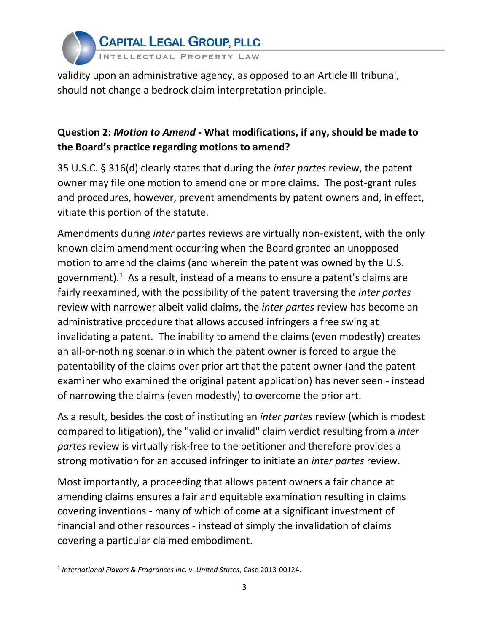

 validity upon an administrative agency, as opposed to an Article III tribunal, should not change a bedrock claim interpretation principle.

# **Question 2:** *Motion to Amend* **- What modifications, if any, should be made to the Board's practice regarding motions to amend?**

 35 U.S.C. § 316(d) clearly states that during the *inter partes* review, the patent owner may file one motion to amend one or more claims. The post-grant rules and procedures, however, prevent amendments by patent owners and, in effect, vitiate this portion of the statute.

 Amendments during *inter* partes reviews are virtually non-existent, with the only known claim amendment occurring when the Board granted an unopposed motion to amend the claims (and wherein the patent was owned by the U.S. government).<sup>1</sup> As a result, instead of a means to ensure a patent's claims are fairly reexamined, with the possibility of the patent traversing the *inter partes* review with narrower albeit valid claims, the *inter partes* review has become an administrative procedure that allows accused infringers a free swing at invalidating a patent. The inability to amend the claims (even modestly) creates an all-or-nothing scenario in which the patent owner is forced to argue the patentability of the claims over prior art that the patent owner (and the patent examiner who examined the original patent application) has never seen - instead of narrowing the claims (even modestly) to overcome the prior art.

 As a result, besides the cost of instituting an *inter partes* review (which is modest compared to litigation), the "valid or invalid" claim verdict resulting from a *inter partes* review is virtually risk-free to the petitioner and therefore provides a strong motivation for an accused infringer to initiate an *inter partes* review.

 Most importantly, a proceeding that allows patent owners a fair chance at amending claims ensures a fair and equitable examination resulting in claims covering inventions - many of which of come at a significant investment of financial and other resources - instead of simply the invalidation of claims covering a particular claimed embodiment.

 <sup>1</sup>*International Flavors & Fragrances Inc. v. United States*, Case 2013-00124.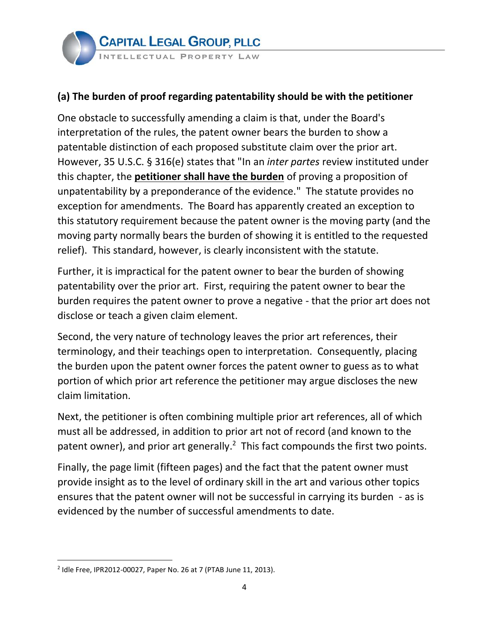## **(a) The burden of proof regarding patentability should be with the petitioner**

 One obstacle to successfully amending a claim is that, under the Board's interpretation of the rules, the patent owner bears the burden to show a patentable distinction of each proposed substitute claim over the prior art. However, 35 U.S.C. § 316(e) states that "In an *inter partes* review instituted under this chapter, the **petitioner shall have the burden** of proving a proposition of unpatentability by a preponderance of the evidence." The statute provides no exception for amendments. The Board has apparently created an exception to this statutory requirement because the patent owner is the moving party (and the moving party normally bears the burden of showing it is entitled to the requested relief). This standard, however, is clearly inconsistent with the statute.

 Further, it is impractical for the patent owner to bear the burden of showing patentability over the prior art. First, requiring the patent owner to bear the burden requires the patent owner to prove a negative - that the prior art does not disclose or teach a given claim element.

 Second, the very nature of technology leaves the prior art references, their terminology, and their teachings open to interpretation. Consequently, placing the burden upon the patent owner forces the patent owner to guess as to what portion of which prior art reference the petitioner may argue discloses the new claim limitation.

 Next, the petitioner is often combining multiple prior art references, all of which must all be addressed, in addition to prior art not of record (and known to the patent owner), and prior art generally.<sup>2</sup> This fact compounds the first two points.

 Finally, the page limit (fifteen pages) and the fact that the patent owner must provide insight as to the level of ordinary skill in the art and various other topics ensures that the patent owner will not be successful in carrying its burden - as is evidenced by the number of successful amendments to date.

<sup>&</sup>lt;sup>2</sup> Idle Free, IPR2012-00027, Paper No. 26 at 7 (PTAB June 11, 2013).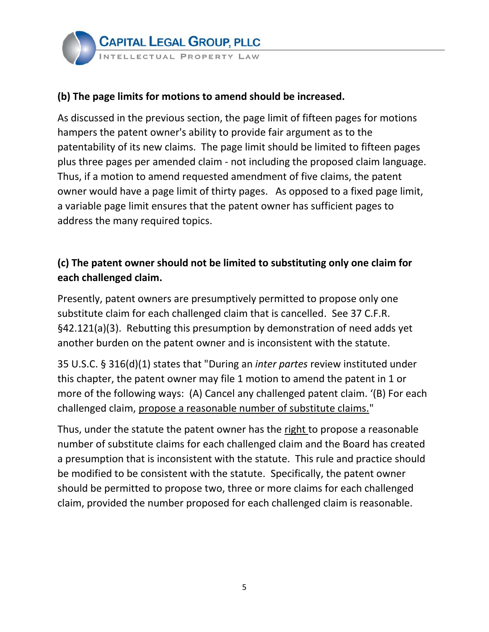

#### **(b) The page limits for motions to amend should be increased.**

 As discussed in the previous section, the page limit of fifteen pages for motions hampers the patent owner's ability to provide fair argument as to the patentability of its new claims. The page limit should be limited to fifteen pages plus three pages per amended claim - not including the proposed claim language. Thus, if a motion to amend requested amendment of five claims, the patent owner would have a page limit of thirty pages. As opposed to a fixed page limit, a variable page limit ensures that the patent owner has sufficient pages to address the many required topics.

# **(c) The patent owner should not be limited to substituting only one claim for each challenged claim.**

 Presently, patent owners are presumptively permitted to propose only one substitute claim for each challenged claim that is cancelled. See 37 C.F.R. §42.121(a)(3). Rebutting this presumption by demonstration of need adds yet another burden on the patent owner and is inconsistent with the statute.

 35 U.S.C. § 316(d)(1) states that "During an *inter partes* review instituted under this chapter, the patent owner may file 1 motion to amend the patent in 1 or more of the following ways: (A) Cancel any challenged patent claim. '(B) For each challenged claim, propose a reasonable number of substitute claims."

Thus, under the statute the patent owner has the right to propose a reasonable number of substitute claims for each challenged claim and the Board has created a presumption that is inconsistent with the statute. This rule and practice should be modified to be consistent with the statute. Specifically, the patent owner should be permitted to propose two, three or more claims for each challenged claim, provided the number proposed for each challenged claim is reasonable.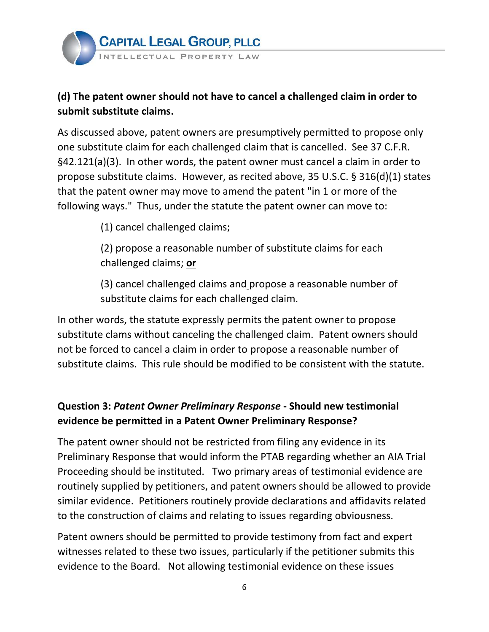

#### **(d) The patent owner should not have to cancel a challenged claim in order to submit substitute claims.**

 As discussed above, patent owners are presumptively permitted to propose only one substitute claim for each challenged claim that is cancelled. See 37 C.F.R. §42.121(a)(3). In other words, the patent owner must cancel a claim in order to propose substitute claims. However, as recited above, 35 U.S.C. § 316(d)(1) states that the patent owner may move to amend the patent "in 1 or more of the following ways." Thus, under the statute the patent owner can move to:

(1) cancel challenged claims;

 (2) propose a reasonable number of substitute claims for each challenged claims; **or**

 (3) cancel challenged claims and propose a reasonable number of substitute claims for each challenged claim.

 In other words, the statute expressly permits the patent owner to propose substitute clams without canceling the challenged claim. Patent owners should not be forced to cancel a claim in order to propose a reasonable number of substitute claims. This rule should be modified to be consistent with the statute.

## **evidence be permitted in a Patent Owner Preliminary Response? Question 3:** *Patent Owner Preliminary Response* **- Should new testimonial**

 The patent owner should not be restricted from filing any evidence in its Preliminary Response that would inform the PTAB regarding whether an AIA Trial Proceeding should be instituted. Two primary areas of testimonial evidence are routinely supplied by petitioners, and patent owners should be allowed to provide similar evidence. Petitioners routinely provide declarations and affidavits related to the construction of claims and relating to issues regarding obviousness.

 Patent owners should be permitted to provide testimony from fact and expert witnesses related to these two issues, particularly if the petitioner submits this evidence to the Board. Not allowing testimonial evidence on these issues